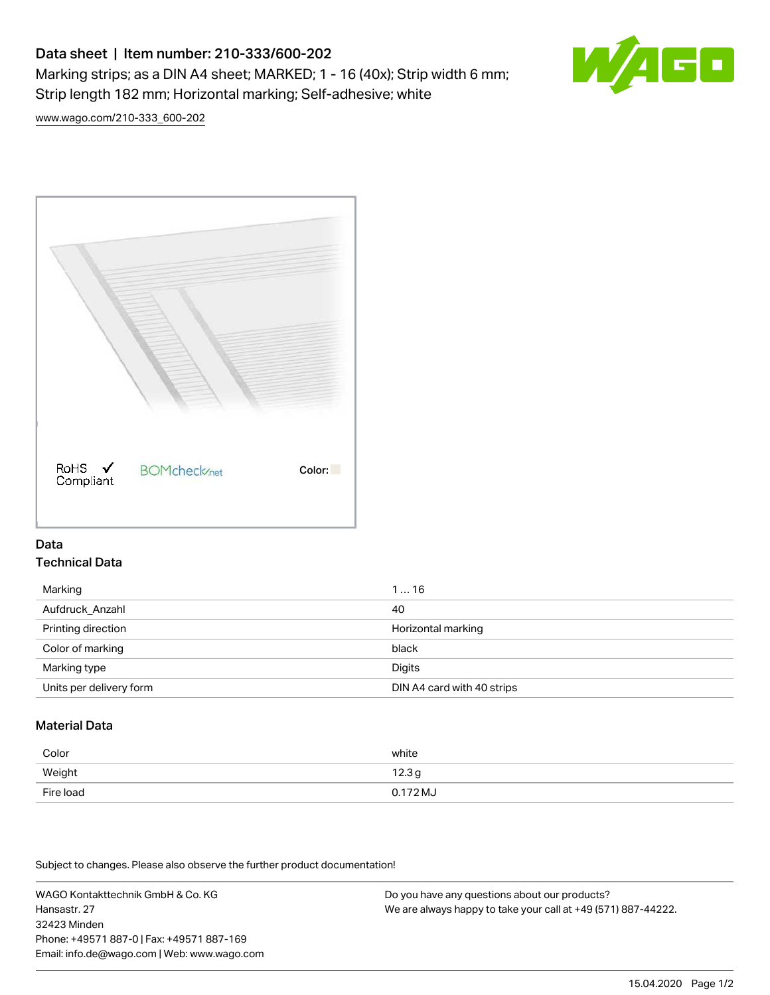# Data sheet | Item number: 210-333/600-202

Marking strips; as a DIN A4 sheet; MARKED; 1 - 16 (40x); Strip width 6 mm; Strip length 182 mm; Horizontal marking; Self-adhesive; white



[www.wago.com/210-333\\_600-202](http://www.wago.com/210-333_600-202)



## Data Technical Data

| Marking                 | 116                        |
|-------------------------|----------------------------|
| Aufdruck_Anzahl         | 40                         |
| Printing direction      | Horizontal marking         |
| Color of marking        | black                      |
| Marking type            | <b>Digits</b>              |
| Units per delivery form | DIN A4 card with 40 strips |

# Material Data

| Color     | white             |
|-----------|-------------------|
| Weight    | 12.3 <sub>g</sub> |
| Fire load | $0.172 M_J$       |

Subject to changes. Please also observe the further product documentation!

WAGO Kontakttechnik GmbH & Co. KG Hansastr. 27 32423 Minden Phone: +49571 887-0 | Fax: +49571 887-169 Email: info.de@wago.com | Web: www.wago.com Do you have any questions about our products? We are always happy to take your call at +49 (571) 887-44222.